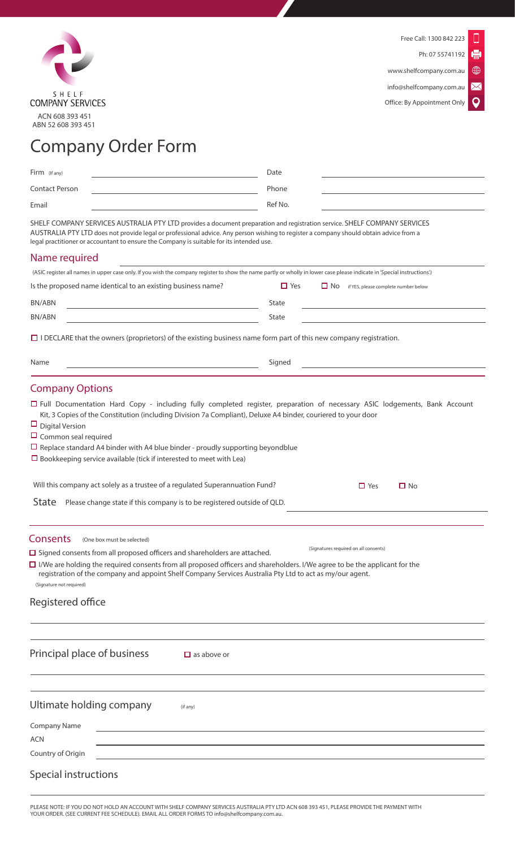

⊕  $\boxtimes$ 

info@shelfcompany.com.au

 $\mathbf Q$ Office: By Appointment Only

## Company Order Form

| Firm (If any)         | Date    |  |
|-----------------------|---------|--|
| <b>Contact Person</b> | Phone   |  |
| Email                 | Ref No. |  |
|                       |         |  |

SHELF COMPANY SERVICES AUSTRALIA PTY LTD provides a document preparation and registration service. SHELF COMPANY SERVICES AUSTRALIA PTY LTD does not provide legal or professional advice. Any person wishing to register a company should obtain advice from a legal practitioner or accountant to ensure the Company is suitable for its intended use.

## Name required

| (ASIC register all names in upper case only. If you wish the company register to show the name partly or wholly in lower case please indicate in 'Special instructions'.) |            |           |                                      |
|---------------------------------------------------------------------------------------------------------------------------------------------------------------------------|------------|-----------|--------------------------------------|
| Is the proposed name identical to an existing business name?                                                                                                              | $\Box$ Yes | $\Box$ No | if YES, please complete number below |
| BN/ABN                                                                                                                                                                    | State      |           |                                      |
| BN/ABN                                                                                                                                                                    | State      |           |                                      |
|                                                                                                                                                                           |            |           |                                      |

 $\Box$  I DECLARE that the owners (proprietors) of the existing business name form part of this new company registration.

| Name                                                                                                                                                                                                                                                                                                                                                                                                                                                                         | Signed |                                       |           |
|------------------------------------------------------------------------------------------------------------------------------------------------------------------------------------------------------------------------------------------------------------------------------------------------------------------------------------------------------------------------------------------------------------------------------------------------------------------------------|--------|---------------------------------------|-----------|
| <b>Company Options</b>                                                                                                                                                                                                                                                                                                                                                                                                                                                       |        |                                       |           |
| □ Full Documentation Hard Copy - including fully completed register, preparation of necessary ASIC lodgements, Bank Account<br>Kit, 3 Copies of the Constitution (including Division 7a Compliant), Deluxe A4 binder, couriered to your door<br>$\Box$ Digital Version<br>$\Box$ Common seal required<br>$\Box$ Replace standard A4 binder with A4 blue binder - proudly supporting beyondblue<br>$\Box$ Bookkeeping service available (tick if interested to meet with Lea) |        |                                       |           |
| Will this company act solely as a trustee of a regulated Superannuation Fund?                                                                                                                                                                                                                                                                                                                                                                                                |        | $\Box$ Yes                            | $\Box$ No |
| <b>State</b><br>Please change state if this company is to be registered outside of QLD.                                                                                                                                                                                                                                                                                                                                                                                      |        |                                       |           |
| <b>Consents</b><br>(One box must be selected)<br>$\Box$ Signed consents from all proposed officers and shareholders are attached.<br>$\Box$ I/We are holding the required consents from all proposed officers and shareholders. I/We agree to be the applicant for the<br>registration of the company and appoint Shelf Company Services Australia Pty Ltd to act as my/our agent.<br>(Signature not required)<br>Registered office                                          |        | (Signatures required on all consents) |           |
|                                                                                                                                                                                                                                                                                                                                                                                                                                                                              |        |                                       |           |
| Principal place of business<br>$\Box$ as above or                                                                                                                                                                                                                                                                                                                                                                                                                            |        |                                       |           |
|                                                                                                                                                                                                                                                                                                                                                                                                                                                                              |        |                                       |           |
| Ultimate holding company<br>(if any)                                                                                                                                                                                                                                                                                                                                                                                                                                         |        |                                       |           |
| <b>Company Name</b>                                                                                                                                                                                                                                                                                                                                                                                                                                                          |        |                                       |           |
| ACN                                                                                                                                                                                                                                                                                                                                                                                                                                                                          |        |                                       |           |

Special instructions

Country of Origin

PLEASE NOTE: IF YOU DO NOT HOLD AN ACCOUNT WITH SHELF COMPANY SERVICES AUSTRALIA PTY LTD ACN 608 393 451, PLEASE PROVIDE THE PAYMENT WITH YOUR ORDER. (SEE CURRENT FEE SCHEDULE). EMAIL ALL ORDER FORMS TO info@shelfcompany.com.au.